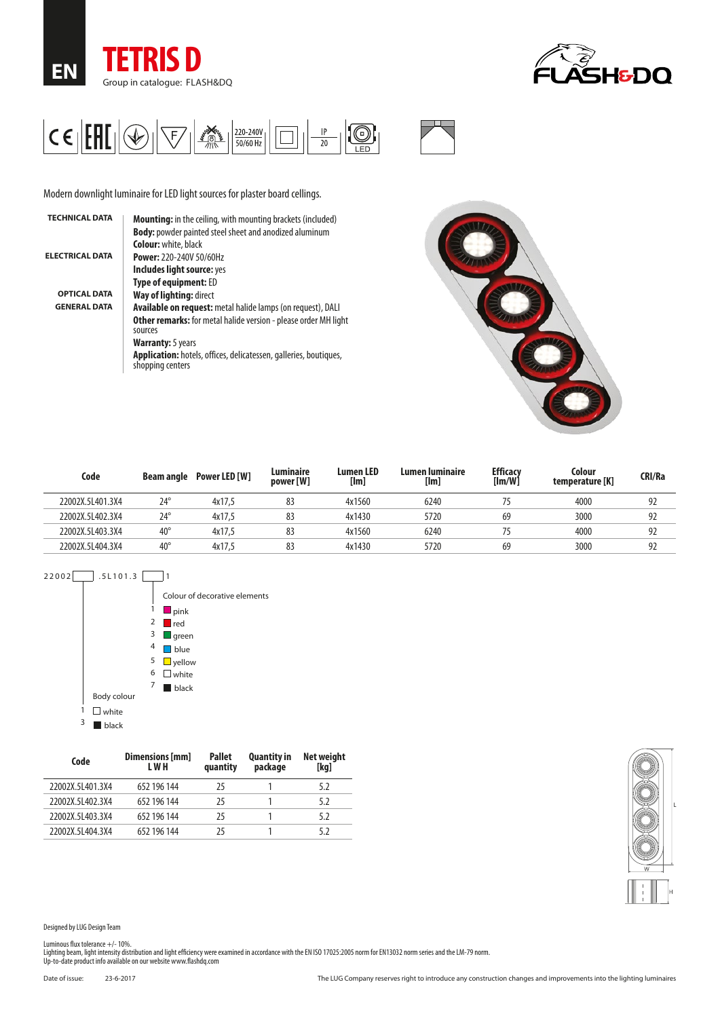





Modern downlight luminaire for LED light sources for plaster board cellings.

| <b>TECHNICAL DATA</b>  | <b>Mounting:</b> in the ceiling, with mounting brackets (included)                    |
|------------------------|---------------------------------------------------------------------------------------|
|                        | <b>Body:</b> powder painted steel sheet and anodized aluminum                         |
|                        | <b>Colour:</b> white, black                                                           |
| <b>ELECTRICAL DATA</b> | <b>Power: 220-240V 50/60Hz</b>                                                        |
|                        | Includes light source: yes                                                            |
|                        | <b>Type of equipment: ED</b>                                                          |
| <b>OPTICAL DATA</b>    | Way of lighting: direct                                                               |
| <b>GENERAL DATA</b>    | <b>Available on request:</b> metal halide lamps (on request), DALI                    |
|                        | <b>Other remarks:</b> for metal halide version - please order MH light<br>sources     |
|                        | <b>Warranty:</b> 5 years                                                              |
|                        | Application: hotels, offices, delicatessen, galleries, boutiques,<br>shopping centers |
|                        |                                                                                       |



| Code             | Beam angle   | <b>Power LED [W]</b> | Luminaire<br>power [W] | <b>Lumen LED</b><br>[Im] | Lumen Iuminaire<br>[Im] | <b>Efficacy</b><br>$[{\sf Im}/{\sf W}]$ | Colour<br>temperature [K] | CRI/Ra |
|------------------|--------------|----------------------|------------------------|--------------------------|-------------------------|-----------------------------------------|---------------------------|--------|
| 22002X.5L401.3X4 | $24^{\circ}$ | 4x17.5               | 83                     | 4x1560                   | 6240                    |                                         | 4000                      | 92     |
| 22002X.5L402.3X4 | $24^{\circ}$ | 4x17.5               | 83                     | 4x1430                   | 5720                    | 69                                      | 3000                      | 92     |
| 22002X.5L403.3X4 | $40^{\circ}$ | 4x17.5               | 83                     | 4x1560                   | 6240                    |                                         | 4000                      | 92     |
| 22002X.5L404.3X4 | $40^{\circ}$ | 4x17.5               | 83                     | 4x1430                   | 5720                    | 69                                      | 3000                      | 92     |



| Code             | Dimensions [mm]<br>L W H | <b>Pallet</b><br>quantity | <b>Quantity in</b><br>package | Net weight<br>[kg] |
|------------------|--------------------------|---------------------------|-------------------------------|--------------------|
| 22002X.5L401.3X4 | 652 196 144              | 25                        |                               | 5.2                |
| 22002X.5L402.3X4 | 652 196 144              | 25                        |                               | 5.2                |
| 22002X.5L403.3X4 | 652 196 144              | 25                        |                               | 5.2                |
| 22002X.5L404.3X4 | 652 196 144              | 75                        |                               | 52                 |



Designed by LUG Design Team

Luminous flux tolerance +/- 10%.<br>Lighting beam, light intensity distribution and light efficiency were examined in accordance with the EN ISO 17025:2005 norm for EN13032 norm series and the LM-79 norm.<br>Up-to-date product i